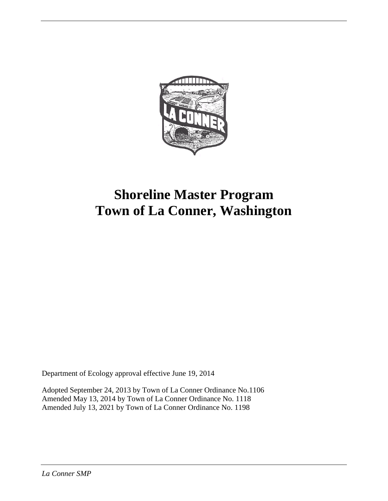

# **Shoreline Master Program Town of La Conner, Washington**

Department of Ecology approval effective June 19, 2014

Adopted September 24, 2013 by Town of La Conner Ordinance No.1106 Amended May 13, 2014 by Town of La Conner Ordinance No. 1118 Amended July 13, 2021 by Town of La Conner Ordinance No. 1198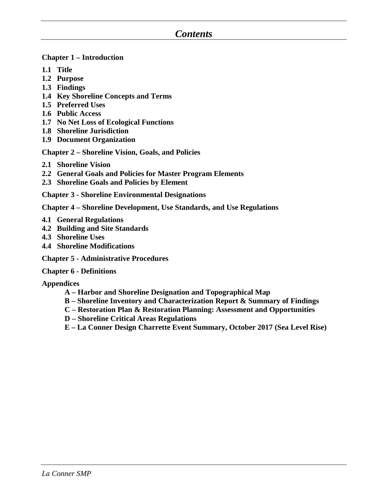### *Contents*

#### **Chapter 1 – Introduction**

- **1.1 Title**
- **1.2 Purpose**
- **1.3 Findings**
- **1.4 Key Shoreline Concepts and Terms**
- **1.5 Preferred Uses**
- **1.6 Public Access**
- **1.7 No Net Loss of Ecological Functions**
- **1.8 Shoreline Jurisdiction**
- **1.9 Document Organization**

**Chapter 2 – Shoreline Vision, Goals, and Policies**

- **2.1 Shoreline Vision**
- **2.2 General Goals and Policies for Master Program Elements**
- **2.3 Shoreline Goals and Policies by Element**

**Chapter 3 - Shoreline Environmental Designations**

**Chapter 4 – Shoreline Development, Use Standards, and Use Regulations**

- **4.1 General Regulations**
- **4.2 Building and Site Standards**
- **4.3 Shoreline Uses**
- **4.4 Shoreline Modifications**

**Chapter 5 - Administrative Procedures**

#### **Chapter 6 - Definitions**

**Appendices**

- **A – Harbor and Shoreline Designation and Topographical Map**
- **B – Shoreline Inventory and Characterization Report & Summary of Findings**
- **C – Restoration Plan & Restoration Planning: Assessment and Opportunities**
- **D – Shoreline Critical Areas Regulations**
- **E – La Conner Design Charrette Event Summary, October 2017 (Sea Level Rise)**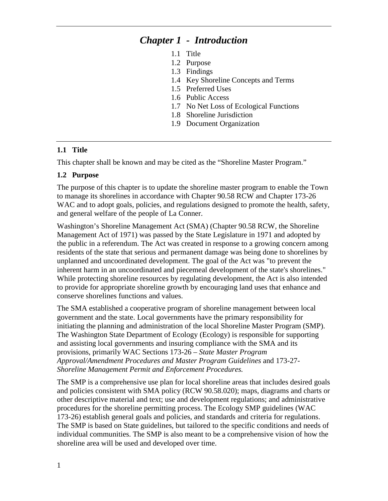## *Chapter 1 - Introduction*

- 1.1 Title
- 1.2 Purpose
- 1.3 Findings
- 1.4 Key Shoreline Concepts and Terms
- 1.5 Preferred Uses
- 1.6 Public Access
- 1.7 No Net Loss of Ecological Functions
- 1.8 Shoreline Jurisdiction
- 1.9 Document Organization

#### **1.1 Title**

This chapter shall be known and may be cited as the "Shoreline Master Program."

#### **1.2 Purpose**

The purpose of this chapter is to update the shoreline master program to enable the Town to manage its shorelines in accordance with Chapter 90.58 RCW and Chapter 173-26 WAC and to adopt goals, policies, and regulations designed to promote the health, safety, and general welfare of the people of La Conner.

Washington's Shoreline Management Act (SMA) (Chapter 90.58 RCW, the Shoreline Management Act of 1971) was passed by the State Legislature in 1971 and adopted by the public in a referendum. The Act was created in response to a growing concern among residents of the state that serious and permanent damage was being done to shorelines by unplanned and uncoordinated development. The goal of the Act was "to prevent the inherent harm in an uncoordinated and piecemeal development of the state's shorelines." While protecting shoreline resources by regulating development, the Act is also intended to provide for appropriate shoreline growth by encouraging land uses that enhance and conserve shorelines functions and values.

The SMA established a cooperative program of shoreline management between local government and the state. Local governments have the primary responsibility for initiating the planning and administration of the local Shoreline Master Program (SMP). The Washington State Department of Ecology (Ecology) is responsible for supporting and assisting local governments and insuring compliance with the SMA and its provisions, primarily WAC Sections 173-26 – *State Master Program Approval/Amendment Procedures and Master Program Guidelines* and 173-27- *Shoreline Management Permit and Enforcement Procedures.*

The SMP is a comprehensive use plan for local shoreline areas that includes desired goals and policies consistent with SMA policy (RCW 90.58.020); maps, diagrams and charts or other descriptive material and text; use and development regulations; and administrative procedures for the shoreline permitting process. The Ecology SMP guidelines (WAC 173-26) establish general goals and policies, and standards and criteria for regulations. The SMP is based on State guidelines, but tailored to the specific conditions and needs of individual communities. The SMP is also meant to be a comprehensive vision of how the shoreline area will be used and developed over time.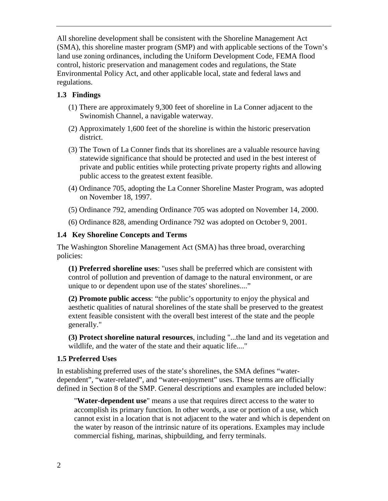All shoreline development shall be consistent with the Shoreline Management Act (SMA), this shoreline master program (SMP) and with applicable sections of the Town's land use zoning ordinances, including the Uniform Development Code, FEMA flood control, historic preservation and management codes and regulations, the State Environmental Policy Act, and other applicable local, state and federal laws and regulations.

#### **1.3 Findings**

- (1) There are approximately 9,300 feet of shoreline in La Conner adjacent to the Swinomish Channel, a navigable waterway.
- (2) Approximately 1,600 feet of the shoreline is within the historic preservation district.
- (3) The Town of La Conner finds that its shorelines are a valuable resource having statewide significance that should be protected and used in the best interest of private and public entities while protecting private property rights and allowing public access to the greatest extent feasible.
- (4) Ordinance 705, adopting the La Conner Shoreline Master Program, was adopted on November 18, 1997.
- (5) Ordinance 792, amending Ordinance 705 was adopted on November 14, 2000.
- (6) Ordinance 828, amending Ordinance 792 was adopted on October 9, 2001.

#### **1.4 Key Shoreline Concepts and Terms**

The Washington Shoreline Management Act (SMA) has three broad, overarching policies:

**(1) Preferred shoreline uses**: "uses shall be preferred which are consistent with control of pollution and prevention of damage to the natural environment, or are unique to or dependent upon use of the states' shorelines...."

**(2) Promote public access**: "the public's opportunity to enjoy the physical and aesthetic qualities of natural shorelines of the state shall be preserved to the greatest extent feasible consistent with the overall best interest of the state and the people generally."

**(3) Protect shoreline natural resources**, including "...the land and its vegetation and wildlife, and the water of the state and their aquatic life...."

#### **1.5 Preferred Uses**

In establishing preferred uses of the state's shorelines, the SMA defines "waterdependent", "water-related", and "water-enjoyment" uses. These terms are officially defined in Section 8 of the SMP. General descriptions and examples are included below:

"**Water-dependent use**" means a use that requires direct access to the water to accomplish its primary function. In other words, a use or portion of a use, which cannot exist in a location that is not adjacent to the water and which is dependent on the water by reason of the intrinsic nature of its operations. Examples may include commercial fishing, marinas, shipbuilding, and ferry terminals.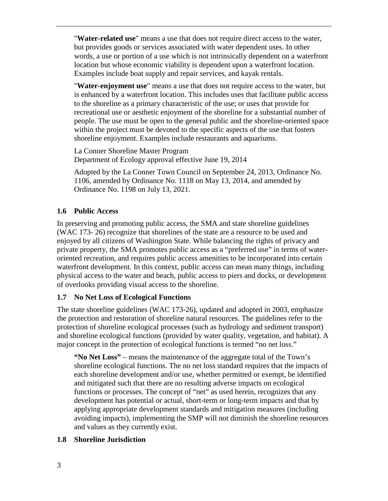"**Water-related use**" means a use that does not require direct access to the water, but provides goods or services associated with water dependent uses. In other words, a use or portion of a use which is not intrinsically dependent on a waterfront location but whose economic viability is dependent upon a waterfront location. Examples include boat supply and repair services, and kayak rentals.

"**Water-enjoyment use**" means a use that does not require access to the water, but is enhanced by a waterfront location. This includes uses that facilitate public access to the shoreline as a primary characteristic of the use; or uses that provide for recreational use or aesthetic enjoyment of the shoreline for a substantial number of people. The use must be open to the general public and the shoreline-oriented space within the project must be devoted to the specific aspects of the use that fosters shoreline enjoyment. Examples include restaurants and aquariums.

La Conner Shoreline Master Program Department of Ecology approval effective June 19, 2014

Adopted by the La Conner Town Council on September 24, 2013, Ordinance No. 1106, amended by Ordinance No. 1118 on May 13, 2014, and amended by Ordinance No. 1198 on July 13, 2021.

#### **1.6 Public Access**

In preserving and promoting public access, the SMA and state shoreline guidelines (WAC 173- 26) recognize that shorelines of the state are a resource to be used and enjoyed by all citizens of Washington State. While balancing the rights of privacy and private property, the SMA promotes public access as a "preferred use" in terms of wateroriented recreation, and requires public access amenities to be incorporated into certain waterfront development. In this context, public access can mean many things, including physical access to the water and beach, public access to piers and docks, or development of overlooks providing visual access to the shoreline.

#### **1.7 No Net Loss of Ecological Functions**

The state shoreline guidelines (WAC 173-26), updated and adopted in 2003, emphasize the protection and restoration of shoreline natural resources. The guidelines refer to the protection of shoreline ecological processes (such as hydrology and sediment transport) and shoreline ecological functions (provided by water quality, vegetation, and habitat). A major concept in the protection of ecological functions is termed "no net loss."

**"No Net Loss"** – means the maintenance of the aggregate total of the Town's shoreline ecological functions. The no net loss standard requires that the impacts of each shoreline development and/or use, whether permitted or exempt, be identified and mitigated such that there are no resulting adverse impacts on ecological functions or processes. The concept of "net" as used herein, recognizes that any development has potential or actual, short-term or long-term impacts and that by applying appropriate development standards and mitigation measures (including avoiding impacts), implementing the SMP will not diminish the shoreline resources and values as they currently exist.

#### **1.8 Shoreline Jurisdiction**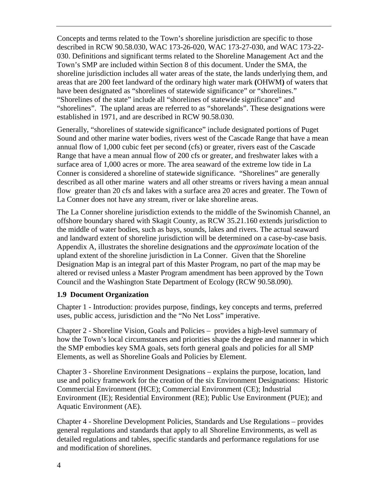Concepts and terms related to the Town's shoreline jurisdiction are specific to those described in RCW 90.58.030, WAC 173-26-020, WAC 173-27-030, and WAC 173-22- 030. Definitions and significant terms related to the Shoreline Management Act and the Town's SMP are included within Section 8 of this document. Under the SMA, the shoreline jurisdiction includes all water areas of the state, the lands underlying them, and areas that are 200 feet landward of the ordinary high water mark **(**OHWM**)** of waters that have been designated as "shorelines of statewide significance" or "shorelines." "Shorelines of the state" include all "shorelines of statewide significance" and "shorelines". The upland areas are referred to as "shorelands". These designations were established in 1971, and are described in RCW 90.58.030.

Generally, "shorelines of statewide significance" include designated portions of Puget Sound and other marine water bodies, rivers west of the Cascade Range that have a mean annual flow of 1,000 cubic feet per second (cfs) or greater, rivers east of the Cascade Range that have a mean annual flow of 200 cfs or greater, and freshwater lakes with a surface area of 1,000 acres or more. The area seaward of the extreme low tide in La Conner is considered a shoreline of statewide significance. "Shorelines" are generally described as all other marine waters and all other streams or rivers having a mean annual flow greater than 20 cfs and lakes with a surface area 20 acres and greater. The Town of La Conner does not have any stream, river or lake shoreline areas.

The La Conner shoreline jurisdiction extends to the middle of the Swinomish Channel, an offshore boundary shared with Skagit County, as RCW 35.21.160 extends jurisdiction to the middle of water bodies, such as bays, sounds, lakes and rivers. The actual seaward and landward extent of shoreline jurisdiction will be determined on a case-by-case basis. Appendix A, illustrates the shoreline designations and the *approximate* location of the upland extent of the shoreline jurisdiction in La Conner. Given that the Shoreline Designation Map is an integral part of this Master Program, no part of the map may be altered or revised unless a Master Program amendment has been approved by the Town Council and the Washington State Department of Ecology (RCW 90.58.090).

#### **1.9 Document Organization**

Chapter 1 - Introduction: provides purpose, findings, key concepts and terms, preferred uses, public access, jurisdiction and the "No Net Loss" imperative.

Chapter 2 - Shoreline Vision, Goals and Policies – provides a high-level summary of how the Town's local circumstances and priorities shape the degree and manner in which the SMP embodies key SMA goals, sets forth general goals and policies for all SMP Elements, as well as Shoreline Goals and Policies by Element.

Chapter 3 - Shoreline Environment Designations – explains the purpose, location, land use and policy framework for the creation of the six Environment Designations: Historic Commercial Environment (HCE); Commercial Environment (CE); Industrial Environment (IE); Residential Environment (RE); Public Use Environment (PUE); and Aquatic Environment (AE).

Chapter 4 - Shoreline Development Policies, Standards and Use Regulations – provides general regulations and standards that apply to all Shoreline Environments, as well as detailed regulations and tables, specific standards and performance regulations for use and modification of shorelines.